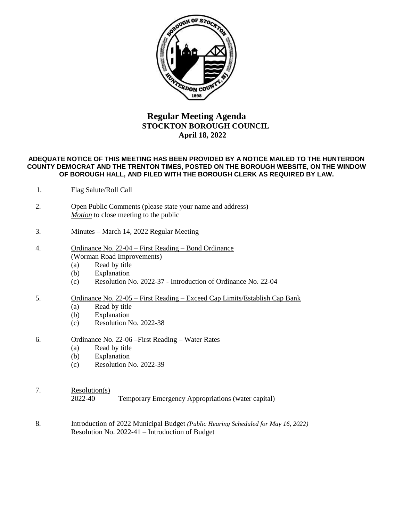

## **Regular Meeting Agenda STOCKTON BOROUGH COUNCIL April 18, 2022**

## **ADEQUATE NOTICE OF THIS MEETING HAS BEEN PROVIDED BY A NOTICE MAILED TO THE HUNTERDON COUNTY DEMOCRAT AND THE TRENTON TIMES, POSTED ON THE BOROUGH WEBSITE, ON THE WINDOW OF BOROUGH HALL, AND FILED WITH THE BOROUGH CLERK AS REQUIRED BY LAW.**

- 1. Flag Salute/Roll Call
- 2. Open Public Comments (please state your name and address) *Motion* to close meeting to the public
- 3. Minutes March 14, 2022 Regular Meeting
- 4. Ordinance No. 22-04 First Reading Bond Ordinance (Worman Road Improvements)
	- (a) Read by title
	- (b) Explanation
	- (c) Resolution No. 2022-37 Introduction of Ordinance No. 22-04
- 5. Ordinance No. 22-05 First Reading Exceed Cap Limits/Establish Cap Bank
	- (a) Read by title
	- (b) Explanation
	- (c) Resolution No. 2022-38
- 6. Ordinance No. 22-06 –First Reading Water Rates
	- (a) Read by title
	- (b) Explanation
	- (c) Resolution No. 2022-39
- 7. Resolution(s)

2022-40 Temporary Emergency Appropriations (water capital)

8. Introduction of 2022 Municipal Budget *(Public Hearing Scheduled for May 16, 2022)* Resolution No. 2022-41 – Introduction of Budget